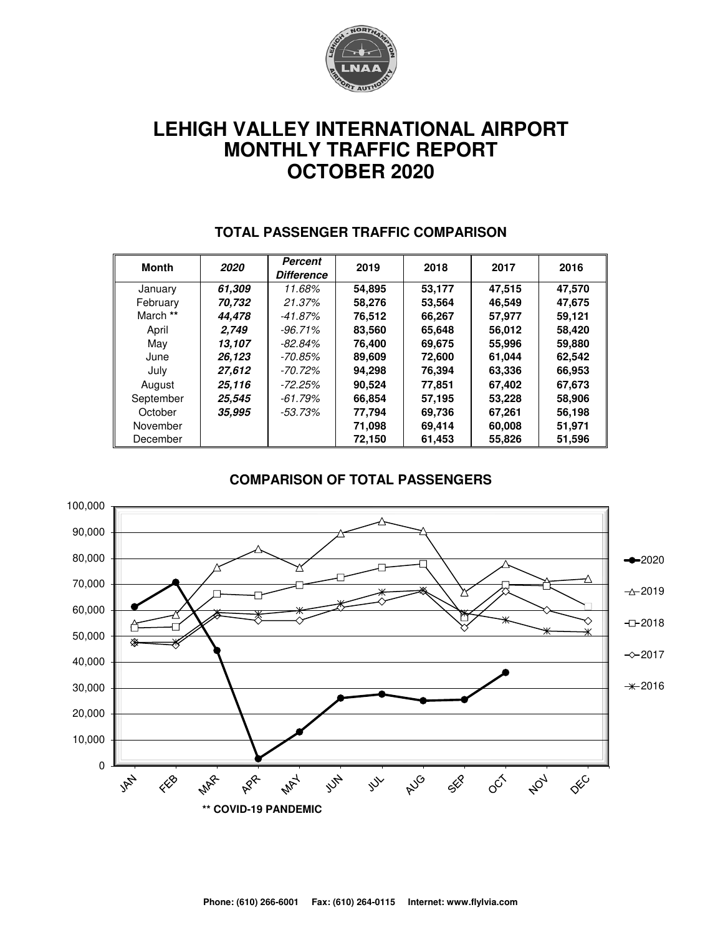

# **LEHIGH VALLEY INTERNATIONAL AIRPORT MONTHLY TRAFFIC REPORT OCTOBER 2020**

| Month     | 2020   | Percent<br><b>Difference</b> | 2019   | 2018   | 2017   | 2016   |
|-----------|--------|------------------------------|--------|--------|--------|--------|
| January   | 61.309 | 11.68%                       | 54,895 | 53,177 | 47,515 | 47,570 |
| February  | 70.732 | 21.37%                       | 58.276 | 53.564 | 46.549 | 47.675 |
| March **  | 44.478 | -41.87%                      | 76,512 | 66,267 | 57,977 | 59.121 |
| April     | 2.749  | $-96.71\%$                   | 83,560 | 65,648 | 56,012 | 58,420 |
| May       | 13.107 | $-82.84%$                    | 76,400 | 69.675 | 55,996 | 59,880 |
| June      | 26,123 | -70.85%                      | 89,609 | 72,600 | 61,044 | 62,542 |
| July      | 27,612 | -70.72%                      | 94.298 | 76,394 | 63,336 | 66,953 |
| August    | 25,116 | $-72.25%$                    | 90,524 | 77.851 | 67,402 | 67,673 |
| September | 25.545 | -61.79%                      | 66.854 | 57.195 | 53,228 | 58,906 |
| October   | 35,995 | -53.73%                      | 77,794 | 69,736 | 67,261 | 56,198 |
| November  |        |                              | 71,098 | 69,414 | 60,008 | 51,971 |
| December  |        |                              | 72,150 | 61,453 | 55,826 | 51,596 |

#### **TOTAL PASSENGER TRAFFIC COMPARISON**

#### **COMPARISON OF TOTAL PASSENGERS**

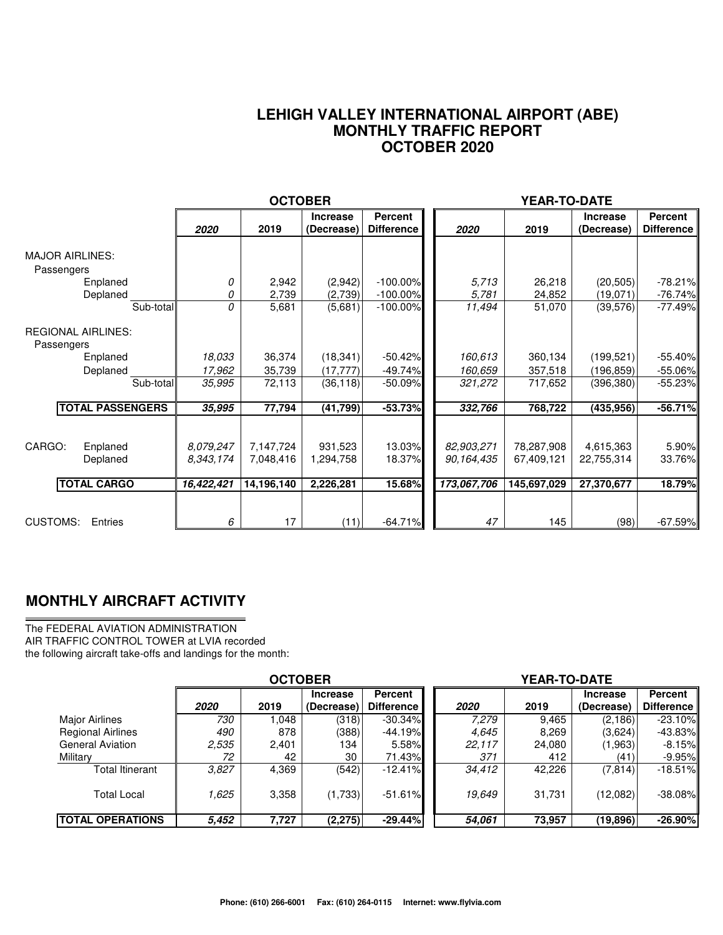#### **LEHIGH VALLEY INTERNATIONAL AIRPORT (ABE) MONTHLY TRAFFIC REPORT OCTOBER 2020**

|                                                                           |                                      | <b>OCTOBER</b>                       |                                   |                                           |                                         | YEAR-TO-DATE                            |                                       |                                     |
|---------------------------------------------------------------------------|--------------------------------------|--------------------------------------|-----------------------------------|-------------------------------------------|-----------------------------------------|-----------------------------------------|---------------------------------------|-------------------------------------|
|                                                                           | 2020                                 | 2019                                 | <b>Increase</b><br>(Decrease)     | <b>Percent</b><br><b>Difference</b>       | 2020                                    | 2019                                    | <b>Increase</b><br>(Decrease)         | <b>Percent</b><br><b>Difference</b> |
| <b>MAJOR AIRLINES:</b><br>Passengers<br>Enplaned<br>Deplaned<br>Sub-total | 0<br>0<br>0                          | 2,942<br>2,739<br>5,681              | (2,942)<br>(2,739)<br>(5,681)     | $-100.00\%$<br>$-100.00\%$<br>$-100.00\%$ | 5.713<br>5,781<br>11,494                | 26,218<br>24,852<br>51,070              | (20, 505)<br>(19,071)<br>(39, 576)    | $-78.21%$<br>$-76.74%$<br>$-77.49%$ |
| <b>REGIONAL AIRLINES:</b><br>Passengers<br>Enplaned<br>Deplaned           | 18,033<br>17,962                     | 36,374<br>35,739                     | (18, 341)<br>(17, 777)            | $-50.42%$<br>$-49.74%$                    | 160,613<br>160.659                      | 360,134<br>357,518                      | (199, 521)<br>(196, 859)              | $-55.40%$<br>$-55.06\%$             |
| Sub-total<br><b>TOTAL PASSENGERS</b>                                      | 35,995<br>35,995                     | 72,113<br>77,794                     | (36, 118)<br>(41, 799)            | $-50.09%$<br>$-53.73%$                    | 321,272<br>332,766                      | 717,652<br>768,722                      | (396, 380)<br>(435, 956)              | $-55.23%$<br>$-56.71%$              |
| CARGO:<br>Enplaned<br>Deplaned<br><b>TOTAL CARGO</b>                      | 8.079.247<br>8,343,174<br>16,422,421 | 7,147,724<br>7,048,416<br>14,196,140 | 931,523<br>1,294,758<br>2,226,281 | 13.03%<br>18.37%<br><b>15.68%</b>         | 82,903,271<br>90.164.435<br>173,067,706 | 78,287,908<br>67,409,121<br>145,697,029 | 4,615,363<br>22,755,314<br>27,370,677 | 5.90%<br>33.76%<br>18.79%           |
| <b>CUSTOMS:</b><br>Entries                                                | 6                                    | 17                                   | (11)                              | $-64.71%$                                 | 47                                      | 145                                     | (98)                                  | $-67.59%$                           |

### **MONTHLY AIRCRAFT ACTIVITY**

The FEDERAL AVIATION ADMINISTRATION AIR TRAFFIC CONTROL TOWER at LVIA recorded the following aircraft take-offs and landings for the month:

|                          | <b>OCTOBER</b> |       |                               |                                     | <b>YEAR-TO-DATE</b> |        |                               |                              |  |  |
|--------------------------|----------------|-------|-------------------------------|-------------------------------------|---------------------|--------|-------------------------------|------------------------------|--|--|
|                          | 2020           | 2019  | <b>Increase</b><br>(Decrease) | <b>Percent</b><br><b>Difference</b> | 2020                | 2019   | <b>Increase</b><br>(Decrease) | Percent<br><b>Difference</b> |  |  |
| Major Airlines           | 730            | 1.048 | (318)                         | $-30.34\%$                          | 7.279               | 9,465  | (2, 186)                      | $-23.10\%$                   |  |  |
| <b>Regional Airlines</b> | 490            | 878   | (388)                         | $-44.19\%$                          | 4,645               | 8,269  | (3,624)                       | $-43.83\%$                   |  |  |
| <b>General Aviation</b>  | 2,535          | 2,401 | 134                           | $5.58\%$                            | 22,117              | 24,080 | (1,963)                       | $-8.15\%$                    |  |  |
| Military                 | 72             | 42    | 30                            | 71.43%                              | 371                 | 412    | (41)                          | $-9.95\%$                    |  |  |
| Total Itinerant          | 3.827          | 4,369 | (542)                         | $-12.41\%$                          | 34,412              | 42,226 | (7, 814)                      | $-18.51%$                    |  |  |
| <b>Total Local</b>       | 1.625          | 3,358 | (1,733)                       | $-51.61%$                           | 19,649              | 31,731 | (12,082)                      | $-38.08\%$                   |  |  |
| <b>TOTAL OPERATIONS</b>  | 5.452          | 7,727 | (2, 275)                      | $-29.44%$                           | 54,061              | 73,957 | (19, 896)                     | $-26.90%$                    |  |  |